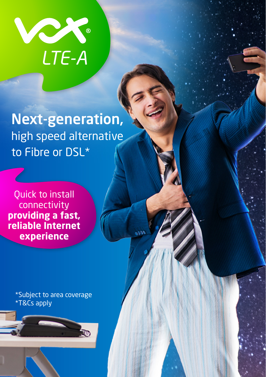

Next-generation, high speed alternative to Fibre or DSL\*

Quick to install connectivity **providing a fast, reliable Internet experience**

> \*Subject to area coverage \*T&Cs apply